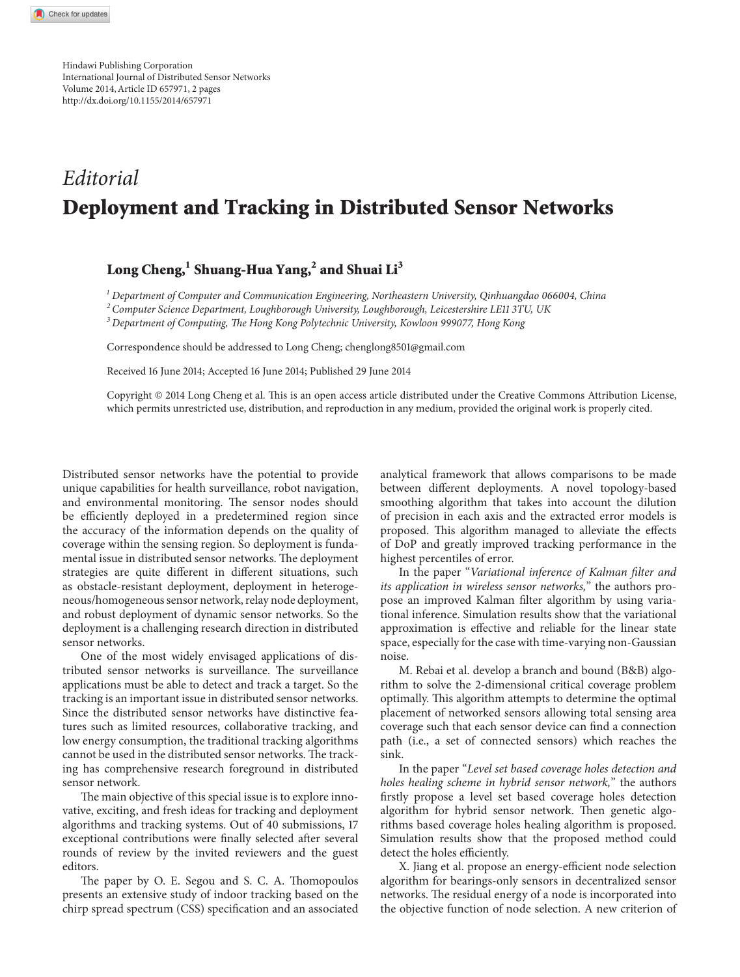Hindawi Publishing Corporation International Journal of Distributed Sensor Networks Volume 2014, Article ID 657971, 2 pages <http://dx.doi.org/10.1155/2014/657971>

## *Editorial* **Deployment and Tracking in Distributed Sensor Networks**

## Long Cheng,<sup>1</sup> Shuang-Hua Yang,<sup>2</sup> and Shuai Li<sup>3</sup>

*<sup>1</sup> Department of Computer and Communication Engineering, Northeastern University, Qinhuangdao 066004, China*

*<sup>2</sup> Computer Science Department, Loughborough University, Loughborough, Leicestershire LE11 3TU, UK*

*<sup>3</sup> Department of Computing, The Hong Kong Polytechnic University, Kowloon 999077, Hong Kong*

Correspondence should be addressed to Long Cheng; chenglong8501@gmail.com

Received 16 June 2014; Accepted 16 June 2014; Published 29 June 2014

Copyright © 2014 Long Cheng et al. This is an open access article distributed under the Creative Commons Attribution License, which permits unrestricted use, distribution, and reproduction in any medium, provided the original work is properly cited.

Distributed sensor networks have the potential to provide unique capabilities for health surveillance, robot navigation, and environmental monitoring. The sensor nodes should be efficiently deployed in a predetermined region since the accuracy of the information depends on the quality of coverage within the sensing region. So deployment is fundamental issue in distributed sensor networks. The deployment strategies are quite different in different situations, such as obstacle-resistant deployment, deployment in heterogeneous/homogeneous sensor network, relay node deployment, and robust deployment of dynamic sensor networks. So the deployment is a challenging research direction in distributed sensor networks.

One of the most widely envisaged applications of distributed sensor networks is surveillance. The surveillance applications must be able to detect and track a target. So the tracking is an important issue in distributed sensor networks. Since the distributed sensor networks have distinctive features such as limited resources, collaborative tracking, and low energy consumption, the traditional tracking algorithms cannot be used in the distributed sensor networks. The tracking has comprehensive research foreground in distributed sensor network.

The main objective of this special issue is to explore innovative, exciting, and fresh ideas for tracking and deployment algorithms and tracking systems. Out of 40 submissions, 17 exceptional contributions were finally selected after several rounds of review by the invited reviewers and the guest editors.

The paper by O. E. Segou and S. C. A. Thomopoulos presents an extensive study of indoor tracking based on the chirp spread spectrum (CSS) specification and an associated

analytical framework that allows comparisons to be made between different deployments. A novel topology-based smoothing algorithm that takes into account the dilution of precision in each axis and the extracted error models is proposed. This algorithm managed to alleviate the effects of DoP and greatly improved tracking performance in the highest percentiles of error.

In the paper "*Variational inference of Kalman filter and its application in wireless sensor networks,*" the authors propose an improved Kalman filter algorithm by using variational inference. Simulation results show that the variational approximation is effective and reliable for the linear state space, especially for the case with time-varying non-Gaussian noise.

M. Rebai et al. develop a branch and bound (B&B) algorithm to solve the 2-dimensional critical coverage problem optimally. This algorithm attempts to determine the optimal placement of networked sensors allowing total sensing area coverage such that each sensor device can find a connection path (i.e., a set of connected sensors) which reaches the sink.

In the paper "*Level set based coverage holes detection and holes healing scheme in hybrid sensor network,*" the authors firstly propose a level set based coverage holes detection algorithm for hybrid sensor network. Then genetic algorithms based coverage holes healing algorithm is proposed. Simulation results show that the proposed method could detect the holes efficiently.

X. Jiang et al. propose an energy-efficient node selection algorithm for bearings-only sensors in decentralized sensor networks. The residual energy of a node is incorporated into the objective function of node selection. A new criterion of